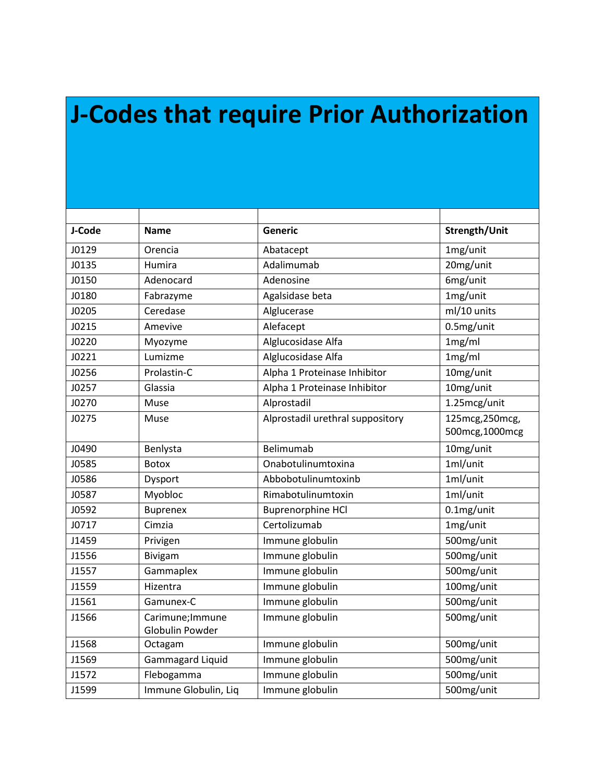## **J-Codes that require Prior Authorization**

| J-Code | <b>Name</b>                         | Generic                          | Strength/Unit                     |
|--------|-------------------------------------|----------------------------------|-----------------------------------|
| J0129  | Orencia                             | Abatacept                        | 1mg/unit                          |
| J0135  | Humira                              | Adalimumab                       | 20mg/unit                         |
| J0150  | Adenocard                           | Adenosine                        | 6mg/unit                          |
| J0180  | Fabrazyme                           | Agalsidase beta                  | 1mg/unit                          |
| J0205  | Ceredase                            | Alglucerase                      | ml/10 units                       |
| J0215  | Amevive                             | Alefacept                        | 0.5mg/unit                        |
| J0220  | Myozyme                             | Alglucosidase Alfa               | 1mg/ml                            |
| J0221  | Lumizme                             | Alglucosidase Alfa               | 1mg/ml                            |
| J0256  | Prolastin-C                         | Alpha 1 Proteinase Inhibitor     | 10mg/unit                         |
| J0257  | Glassia                             | Alpha 1 Proteinase Inhibitor     | 10mg/unit                         |
| J0270  | Muse                                | Alprostadil                      | 1.25mcg/unit                      |
| J0275  | Muse                                | Alprostadil urethral suppository | 125mcg, 250mcg,<br>500mcg,1000mcg |
| J0490  | Benlysta                            | Belimumab                        | 10mg/unit                         |
| J0585  | <b>Botox</b>                        | Onabotulinumtoxina               | 1ml/unit                          |
| J0586  | Dysport                             | Abbobotulinumtoxinb              | 1ml/unit                          |
| J0587  | Myobloc                             | Rimabotulinumtoxin               | 1ml/unit                          |
| J0592  | <b>Buprenex</b>                     | <b>Buprenorphine HCl</b>         | 0.1mg/unit                        |
| J0717  | Cimzia                              | Certolizumab                     | 1mg/unit                          |
| J1459  | Privigen                            | Immune globulin                  | 500mg/unit                        |
| J1556  | Bivigam                             | Immune globulin                  | 500mg/unit                        |
| J1557  | Gammaplex                           | Immune globulin                  | 500mg/unit                        |
| J1559  | Hizentra                            | Immune globulin                  | 100mg/unit                        |
| J1561  | Gamunex-C                           | Immune globulin                  | 500mg/unit                        |
| J1566  | Carimune; Immune<br>Globulin Powder | Immune globulin                  | 500mg/unit                        |
| J1568  | Octagam                             | Immune globulin                  | 500mg/unit                        |
| J1569  | <b>Gammagard Liquid</b>             | Immune globulin                  | 500mg/unit                        |
| J1572  | Flebogamma                          | Immune globulin                  | 500mg/unit                        |
| J1599  | Immune Globulin, Liq                | Immune globulin                  | 500mg/unit                        |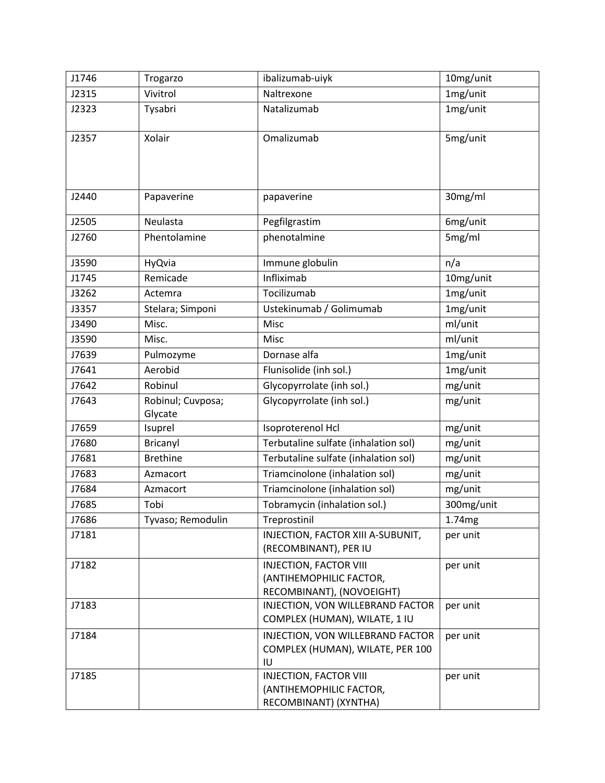| J1746 | Trogarzo                     | ibalizumab-uiyk                                                                       | 10mg/unit          |
|-------|------------------------------|---------------------------------------------------------------------------------------|--------------------|
| J2315 | Vivitrol                     | Naltrexone                                                                            | 1mg/unit           |
| J2323 | Tysabri                      | Natalizumab                                                                           | 1mg/unit           |
| J2357 | Xolair                       | Omalizumab                                                                            | 5mg/unit           |
| J2440 | Papaverine                   | papaverine                                                                            | 30mg/ml            |
| J2505 | Neulasta                     | Pegfilgrastim                                                                         | 6mg/unit           |
| J2760 | Phentolamine                 | phenotalmine                                                                          | 5mg/ml             |
| J3590 | HyQvia                       | Immune globulin                                                                       | n/a                |
| J1745 | Remicade                     | Infliximab                                                                            | 10mg/unit          |
| J3262 | Actemra                      | Tocilizumab                                                                           | 1mg/unit           |
| J3357 | Stelara; Simponi             | Ustekinumab / Golimumab                                                               | 1mg/unit           |
| J3490 | Misc.                        | Misc                                                                                  | ml/unit            |
| J3590 | Misc.                        | Misc                                                                                  | ml/unit            |
| J7639 | Pulmozyme                    | Dornase alfa                                                                          | 1mg/unit           |
| J7641 | Aerobid                      | Flunisolide (inh sol.)                                                                | 1mg/unit           |
| J7642 | Robinul                      | Glycopyrrolate (inh sol.)                                                             | mg/unit            |
| J7643 | Robinul; Cuvposa;<br>Glycate | Glycopyrrolate (inh sol.)                                                             | mg/unit            |
| J7659 | Isuprel                      | Isoproterenol Hcl                                                                     | mg/unit            |
| J7680 | Bricanyl                     | Terbutaline sulfate (inhalation sol)                                                  | mg/unit            |
| J7681 | <b>Brethine</b>              | Terbutaline sulfate (inhalation sol)                                                  | mg/unit            |
| J7683 | Azmacort                     | Triamcinolone (inhalation sol)                                                        | mg/unit            |
| J7684 | Azmacort                     | Triamcinolone (inhalation sol)                                                        | mg/unit            |
| J7685 | Tobi                         | Tobramycin (inhalation sol.)                                                          | 300mg/unit         |
| J7686 | Tyvaso; Remodulin            | Treprostinil                                                                          | 1.74 <sub>mg</sub> |
| J7181 |                              | INJECTION, FACTOR XIII A-SUBUNIT,<br>(RECOMBINANT), PER IU                            | per unit           |
| J7182 |                              | <b>INJECTION, FACTOR VIII</b><br>(ANTIHEMOPHILIC FACTOR,<br>RECOMBINANT), (NOVOEIGHT) | per unit           |
| J7183 |                              | INJECTION, VON WILLEBRAND FACTOR<br>COMPLEX (HUMAN), WILATE, 1 IU                     | per unit           |
| J7184 |                              | INJECTION, VON WILLEBRAND FACTOR<br>COMPLEX (HUMAN), WILATE, PER 100<br>IU            | per unit           |
| J7185 |                              | <b>INJECTION, FACTOR VIII</b><br>(ANTIHEMOPHILIC FACTOR,<br>RECOMBINANT) (XYNTHA)     | per unit           |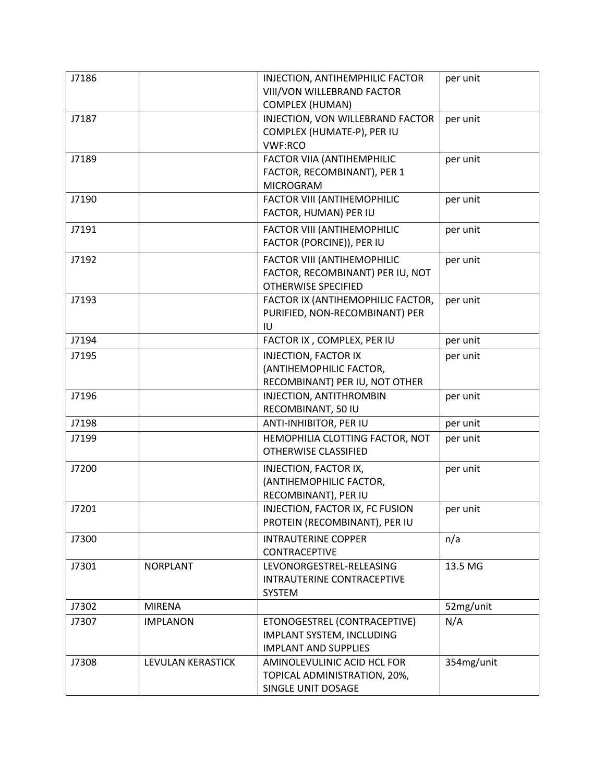| J7186 |                   | INJECTION, ANTIHEMPHILIC FACTOR<br>VIII/VON WILLEBRAND FACTOR | per unit   |
|-------|-------------------|---------------------------------------------------------------|------------|
|       |                   | <b>COMPLEX (HUMAN)</b>                                        |            |
| J7187 |                   | INJECTION, VON WILLEBRAND FACTOR                              | per unit   |
|       |                   | COMPLEX (HUMATE-P), PER IU                                    |            |
|       |                   | <b>VWF:RCO</b>                                                |            |
| J7189 |                   | <b>FACTOR VIIA (ANTIHEMPHILIC</b>                             | per unit   |
|       |                   | FACTOR, RECOMBINANT), PER 1                                   |            |
|       |                   | <b>MICROGRAM</b>                                              |            |
| J7190 |                   | <b>FACTOR VIII (ANTIHEMOPHILIC</b>                            | per unit   |
|       |                   | FACTOR, HUMAN) PER IU                                         |            |
| J7191 |                   | FACTOR VIII (ANTIHEMOPHILIC                                   | per unit   |
|       |                   | FACTOR (PORCINE)), PER IU                                     |            |
| J7192 |                   | <b>FACTOR VIII (ANTIHEMOPHILIC</b>                            | per unit   |
|       |                   | FACTOR, RECOMBINANT) PER IU, NOT                              |            |
|       |                   | <b>OTHERWISE SPECIFIED</b>                                    |            |
| J7193 |                   | FACTOR IX (ANTIHEMOPHILIC FACTOR,                             | per unit   |
|       |                   | PURIFIED, NON-RECOMBINANT) PER                                |            |
|       |                   | IU                                                            |            |
| J7194 |                   | FACTOR IX, COMPLEX, PER IU                                    | per unit   |
| J7195 |                   | <b>INJECTION, FACTOR IX</b>                                   | per unit   |
|       |                   | (ANTIHEMOPHILIC FACTOR,                                       |            |
|       |                   | RECOMBINANT) PER IU, NOT OTHER                                |            |
| J7196 |                   | INJECTION, ANTITHROMBIN                                       | per unit   |
|       |                   | RECOMBINANT, 50 IU                                            |            |
| J7198 |                   | ANTI-INHIBITOR, PER IU                                        | per unit   |
| J7199 |                   | HEMOPHILIA CLOTTING FACTOR, NOT                               | per unit   |
|       |                   | OTHERWISE CLASSIFIED                                          |            |
| J7200 |                   | INJECTION, FACTOR IX,                                         | per unit   |
|       |                   | (ANTIHEMOPHILIC FACTOR,                                       |            |
|       |                   | RECOMBINANT), PER IU                                          |            |
| J7201 |                   | INJECTION, FACTOR IX, FC FUSION                               | per unit   |
|       |                   | PROTEIN (RECOMBINANT), PER IU                                 |            |
| J7300 |                   | <b>INTRAUTERINE COPPER</b>                                    | n/a        |
|       |                   | <b>CONTRACEPTIVE</b>                                          |            |
| J7301 | <b>NORPLANT</b>   | LEVONORGESTREL-RELEASING                                      | 13.5 MG    |
|       |                   | INTRAUTERINE CONTRACEPTIVE                                    |            |
|       |                   | SYSTEM                                                        |            |
| J7302 | <b>MIRENA</b>     |                                                               | 52mg/unit  |
| J7307 | <b>IMPLANON</b>   | ETONOGESTREL (CONTRACEPTIVE)                                  | N/A        |
|       |                   | IMPLANT SYSTEM, INCLUDING                                     |            |
|       |                   | <b>IMPLANT AND SUPPLIES</b>                                   |            |
| J7308 | LEVULAN KERASTICK | AMINOLEVULINIC ACID HCL FOR                                   | 354mg/unit |
|       |                   | TOPICAL ADMINISTRATION, 20%,                                  |            |
|       |                   | SINGLE UNIT DOSAGE                                            |            |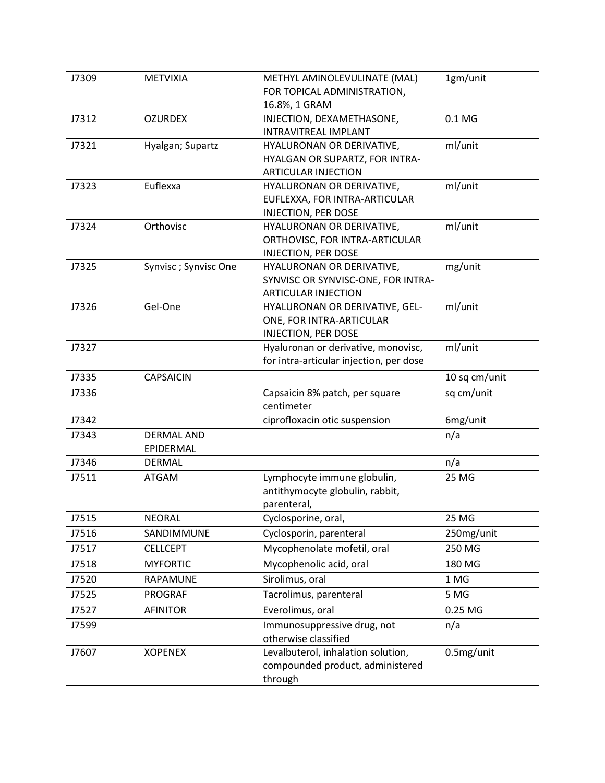| J7309 | <b>METVIXIA</b>      | METHYL AMINOLEVULINATE (MAL)                                    | 1gm/unit         |
|-------|----------------------|-----------------------------------------------------------------|------------------|
|       |                      | FOR TOPICAL ADMINISTRATION,                                     |                  |
|       |                      | 16.8%, 1 GRAM                                                   |                  |
| J7312 | <b>OZURDEX</b>       | INJECTION, DEXAMETHASONE,                                       | 0.1 <sub>M</sub> |
|       |                      | <b>INTRAVITREAL IMPLANT</b>                                     |                  |
| J7321 | Hyalgan; Supartz     | HYALURONAN OR DERIVATIVE,                                       | ml/unit          |
|       |                      | HYALGAN OR SUPARTZ, FOR INTRA-                                  |                  |
|       |                      | <b>ARTICULAR INJECTION</b>                                      |                  |
| J7323 | Euflexxa             | HYALURONAN OR DERIVATIVE,                                       | ml/unit          |
|       |                      | EUFLEXXA, FOR INTRA-ARTICULAR                                   |                  |
|       |                      | <b>INJECTION, PER DOSE</b>                                      |                  |
| J7324 | Orthovisc            | HYALURONAN OR DERIVATIVE,                                       | ml/unit          |
|       |                      | ORTHOVISC, FOR INTRA-ARTICULAR                                  |                  |
|       |                      | <b>INJECTION, PER DOSE</b>                                      |                  |
| J7325 | Synvisc; Synvisc One | HYALURONAN OR DERIVATIVE,<br>SYNVISC OR SYNVISC-ONE, FOR INTRA- | mg/unit          |
|       |                      | <b>ARTICULAR INJECTION</b>                                      |                  |
| J7326 | Gel-One              | HYALURONAN OR DERIVATIVE, GEL-                                  | ml/unit          |
|       |                      | ONE, FOR INTRA-ARTICULAR                                        |                  |
|       |                      | <b>INJECTION, PER DOSE</b>                                      |                  |
| J7327 |                      | Hyaluronan or derivative, monovisc,                             | ml/unit          |
|       |                      | for intra-articular injection, per dose                         |                  |
| J7335 | <b>CAPSAICIN</b>     |                                                                 | 10 sq cm/unit    |
| J7336 |                      | Capsaicin 8% patch, per square                                  | sq cm/unit       |
|       |                      | centimeter                                                      |                  |
| J7342 |                      | ciprofloxacin otic suspension                                   | 6mg/unit         |
| J7343 | <b>DERMAL AND</b>    |                                                                 | n/a              |
|       | EPIDERMAL            |                                                                 |                  |
| J7346 | <b>DERMAL</b>        |                                                                 | n/a              |
| J7511 | <b>ATGAM</b>         | Lymphocyte immune globulin,                                     | 25 MG            |
|       |                      | antithymocyte globulin, rabbit,                                 |                  |
|       |                      | parenteral,                                                     |                  |
| J7515 | <b>NEORAL</b>        | Cyclosporine, oral,                                             | 25 MG            |
| J7516 | SANDIMMUNE           | Cyclosporin, parenteral                                         | 250mg/unit       |
| J7517 | <b>CELLCEPT</b>      | Mycophenolate mofetil, oral                                     | 250 MG           |
| J7518 | <b>MYFORTIC</b>      | Mycophenolic acid, oral                                         | 180 MG           |
| J7520 | RAPAMUNE             | Sirolimus, oral                                                 | 1 MG             |
| J7525 | PROGRAF              | Tacrolimus, parenteral                                          | 5 MG             |
| J7527 | <b>AFINITOR</b>      | Everolimus, oral                                                | 0.25 MG          |
| J7599 |                      | Immunosuppressive drug, not                                     | n/a              |
|       |                      | otherwise classified                                            |                  |
| J7607 | <b>XOPENEX</b>       | Levalbuterol, inhalation solution,                              | 0.5mg/unit       |
|       |                      | compounded product, administered                                |                  |
|       |                      | through                                                         |                  |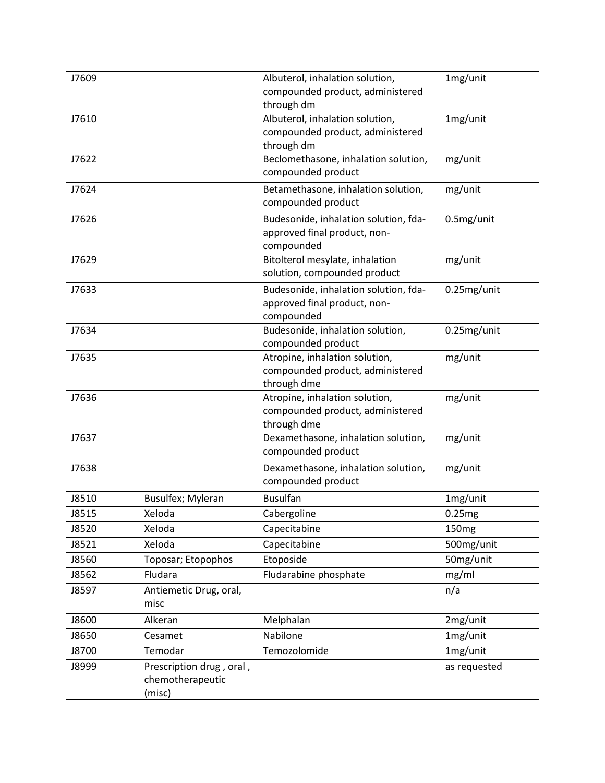| J7609 |                          | Albuterol, inhalation solution,<br>compounded product, administered   | 1mg/unit          |
|-------|--------------------------|-----------------------------------------------------------------------|-------------------|
|       |                          | through dm                                                            |                   |
| J7610 |                          | Albuterol, inhalation solution,                                       | 1mg/unit          |
|       |                          | compounded product, administered                                      |                   |
|       |                          | through dm                                                            |                   |
| J7622 |                          | Beclomethasone, inhalation solution,                                  | mg/unit           |
|       |                          | compounded product                                                    |                   |
| J7624 |                          | Betamethasone, inhalation solution,<br>compounded product             | mg/unit           |
|       |                          |                                                                       |                   |
| J7626 |                          | Budesonide, inhalation solution, fda-<br>approved final product, non- | 0.5mg/unit        |
|       |                          | compounded                                                            |                   |
| J7629 |                          | Bitolterol mesylate, inhalation                                       | mg/unit           |
|       |                          | solution, compounded product                                          |                   |
| J7633 |                          | Budesonide, inhalation solution, fda-                                 | 0.25mg/unit       |
|       |                          | approved final product, non-                                          |                   |
|       |                          | compounded                                                            |                   |
| J7634 |                          | Budesonide, inhalation solution,                                      | 0.25mg/unit       |
|       |                          | compounded product                                                    |                   |
| J7635 |                          | Atropine, inhalation solution,<br>compounded product, administered    | mg/unit           |
|       |                          | through dme                                                           |                   |
| J7636 |                          | Atropine, inhalation solution,                                        | mg/unit           |
|       |                          | compounded product, administered                                      |                   |
|       |                          | through dme                                                           |                   |
| J7637 |                          | Dexamethasone, inhalation solution,                                   | mg/unit           |
|       |                          | compounded product                                                    |                   |
| J7638 |                          | Dexamethasone, inhalation solution,                                   | mg/unit           |
|       |                          | compounded product                                                    |                   |
| J8510 | <b>Busulfex; Myleran</b> | <b>Busulfan</b>                                                       | 1mg/unit          |
| J8515 | Xeloda                   | Cabergoline                                                           | 0.25mg            |
| J8520 | Xeloda                   | Capecitabine                                                          | 150 <sub>mg</sub> |
| J8521 | Xeloda                   | Capecitabine                                                          | 500mg/unit        |
| J8560 | Toposar; Etopophos       | Etoposide                                                             | 50mg/unit         |
| J8562 | Fludara                  | Fludarabine phosphate                                                 | mg/ml             |
| J8597 | Antiemetic Drug, oral,   |                                                                       | n/a               |
|       | misc                     |                                                                       |                   |
| J8600 | Alkeran                  | Melphalan                                                             | 2mg/unit          |
| J8650 | Cesamet                  | Nabilone                                                              | 1mg/unit          |
| J8700 | Temodar                  | Temozolomide                                                          | 1mg/unit          |
| J8999 | Prescription drug, oral, |                                                                       | as requested      |
|       | chemotherapeutic         |                                                                       |                   |
|       | (misc)                   |                                                                       |                   |